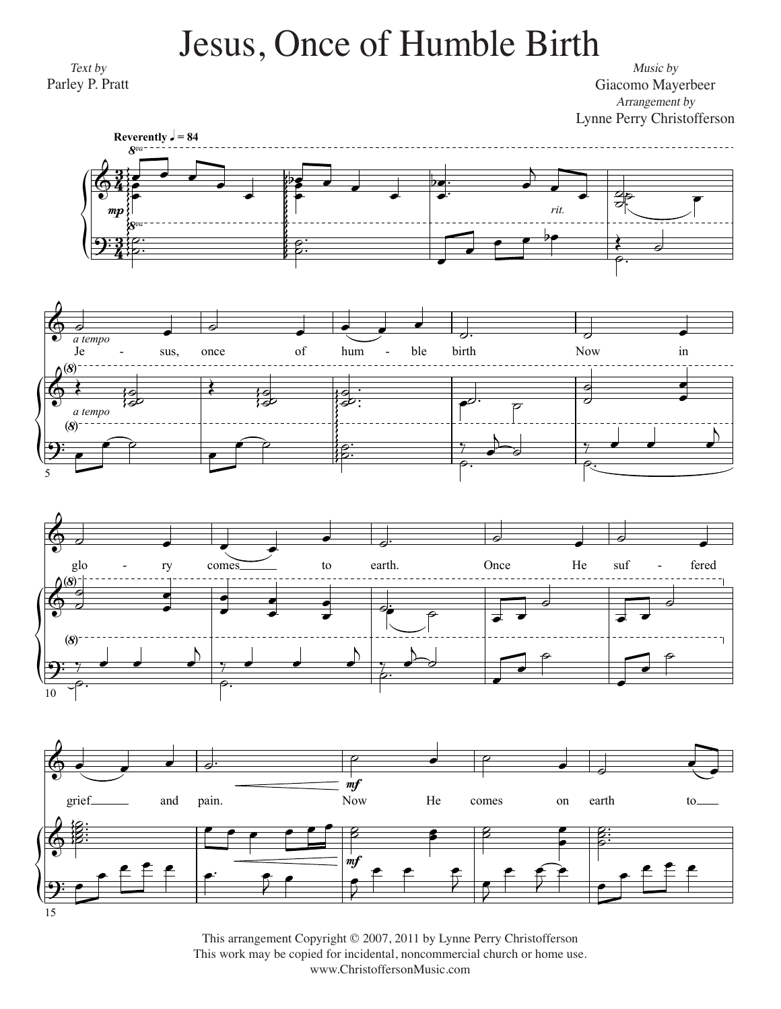## Jesus, Once of Humble Birth Jesus, Once of Humble Birth

*Text by* Parley P. Pratt Parley P. Pratt Text by

*Arrangement by Music by* Giacomo Mayerbeer Giacomo Mayerbeer Music by









This arrangement Copyright © 2007, 2011 by Lynne Perry Christofferson This work may be copied for incidental, noncommercial church or home use. www.ChristoffersonMusic.com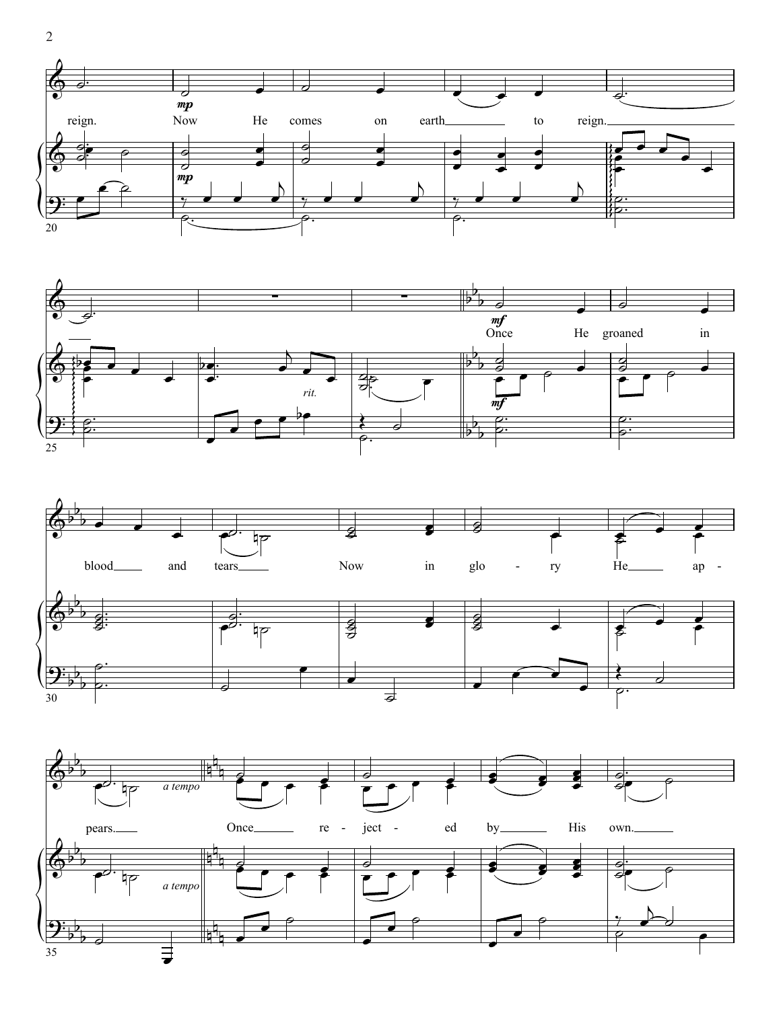





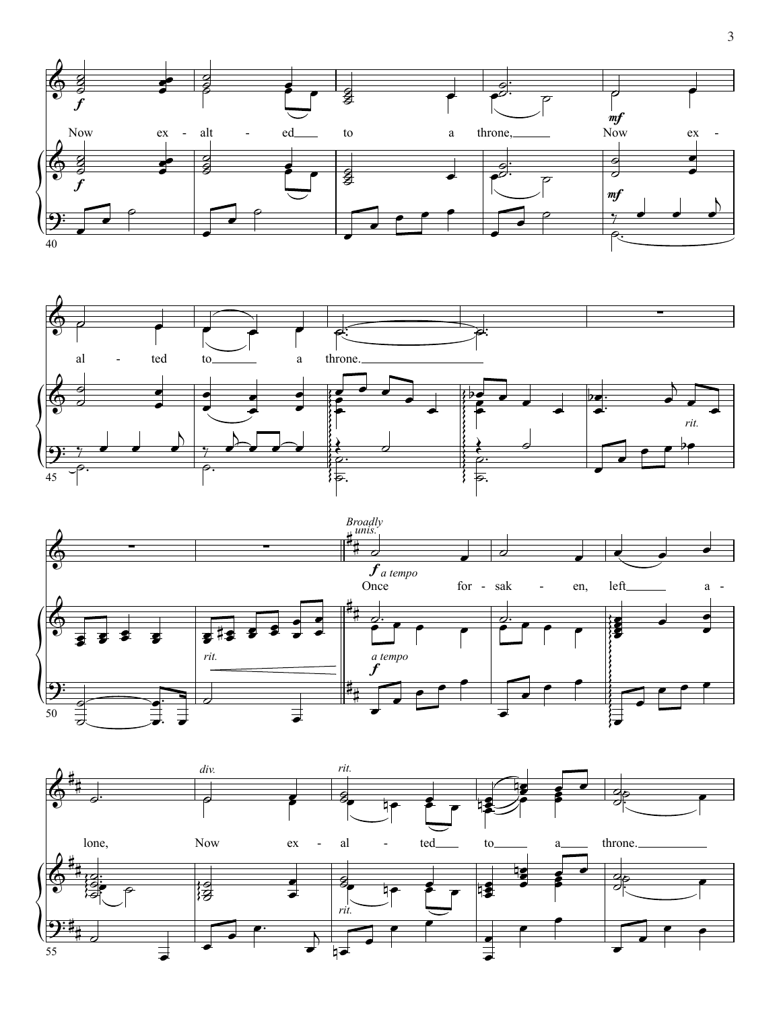